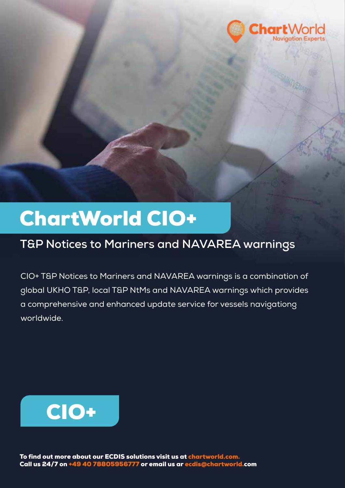

## ChartWorld CIO+

## **T&P Notices to Mariners and NAVAREA warnings**

CIO+ T&P Notices to Mariners and NAVAREA warnings is a combination of global UKHO T&P, local T&P NtMs and NAVAREA warnings which provides a comprehensive and enhanced update service for vessels navigationg worldwide.